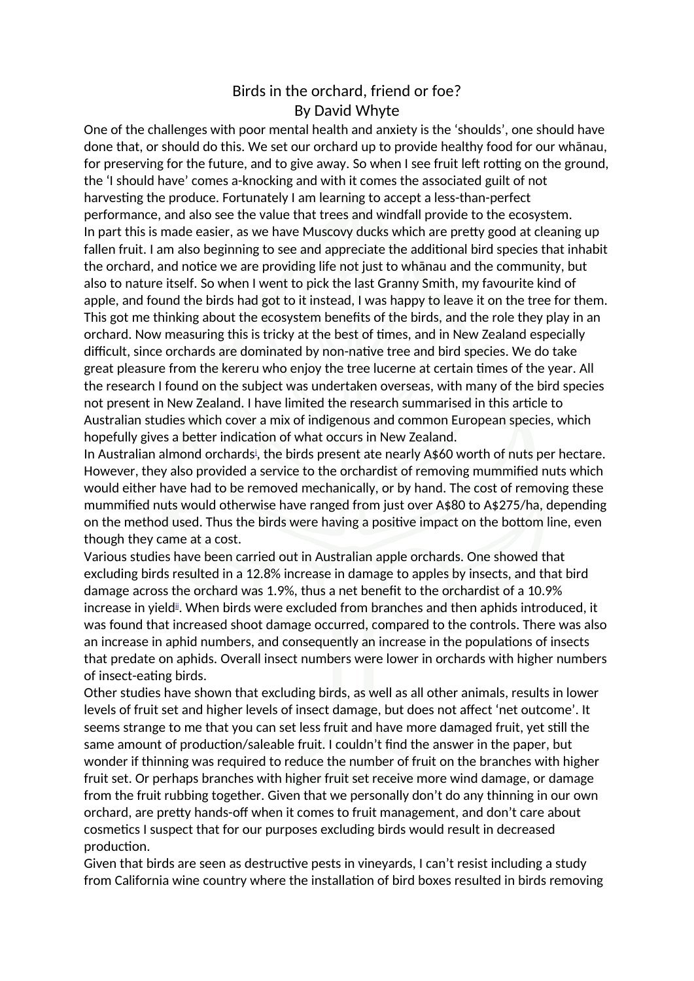## Birds in the orchard, friend or foe? By David Whyte

One of the challenges with poor mental health and anxiety is the 'shoulds', one should have done that, or should do this. We set our orchard up to provide healthy food for our whānau, for preserving for the future, and to give away. So when I see fruit left rotting on the ground, the 'I should have' comes a-knocking and with it comes the associated guilt of not harvesting the produce. Fortunately I am learning to accept a less-than-perfect performance, and also see the value that trees and windfall provide to the ecosystem. In part this is made easier, as we have Muscovy ducks which are prety good at cleaning up fallen fruit. I am also beginning to see and appreciate the additional bird species that inhabit the orchard, and notice we are providing life not just to whānau and the community, but also to nature itself. So when I went to pick the last Granny Smith, my favourite kind of apple, and found the birds had got to it instead, I was happy to leave it on the tree for them. This got me thinking about the ecosystem benefts of the birds, and the role they play in an orchard. Now measuring this is tricky at the best of times, and in New Zealand especially difficult, since orchards are dominated by non-native tree and bird species. We do take great pleasure from the kereru who enjoy the tree lucerne at certain times of the year. All the research I found on the subject was undertaken overseas, with many of the bird species not present in New Zealand. I have limited the research summarised in this article to Australian studies which cover a mix of indigenous and common European species, which hopefully gives a better indication of what occurs in New Zealand.

<span id="page-0-0"></span>In Austral[i](#page-1-0)an almond orchards<sup>i</sup>, the birds present ate nearly A\$60 worth of nuts per hectare. However, they also provided a service to the orchardist of removing mummifed nuts which would either have had to be removed mechanically, or by hand. The cost of removing these mummifed nuts would otherwise have ranged from just over A\$00 to A\$275/hha, depending on the method used. Thus the birds were having a positive impact on the botom line, even though they came at a cost.

<span id="page-0-1"></span>Various studies have been carried out in Australian apple orchards. One showed that excluding birds resulted in a 12.0% increase in damage to apples by insects, and that bird damage across the orchard was 1.9%, thus a net beneft to the orchardist of a 10.9% increase in yield<sup>ij</sup>. When birds were excluded from branches and then aphids introduced, it was found that increased shoot damage occurred, compared to the controls. There was also an increase in aphid numbers, and consequently an increase in the populations of insects that predate on aphids. Overall insect numbers were lower in orchards with higher numbers of insect-eating birds.

Other studies have shown that excluding birds, as well as all other animals, results in lower levels of fruit set and higher levels of insect damage, but does not afect 'net outcome'. It seems strange to me that you can set less fruit and have more damaged fruit, yet still the same amount of production/saleable fruit. I couldn't find the answer in the paper, but wonder if thinning was required to reduce the number of fruit on the branches with higher fruit set. Or perhaps branches with higher fruit set receive more wind damage, or damage from the fruit rubbing together. Given that we personally don't do any thinning in our own orchard, are prety hands-of when it comes to fruit management, and don't care about cosmetics I suspect that for our purposes excluding birds would result in decreased production.

Given that birds are seen as destructive pests in vineyards, I can't resist including a study from California wine country where the installation of bird boxes resulted in birds removing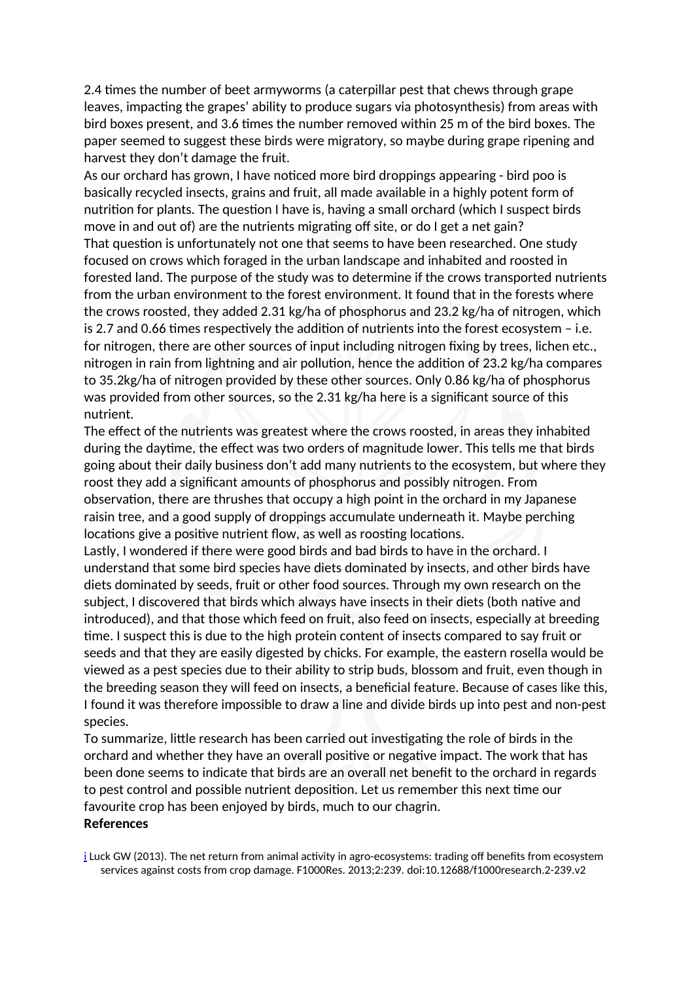2.4 times the number of beet armyworms (a caterpillar pest that chews through grape leaves, impacting the grapes' ability to produce sugars via photosynthesis) from areas with bird boxes present, and 3.6 times the number removed within 25 m of the bird boxes. The paper seemed to suggest these birds were migratory, so maybe during grape ripening and harvest they don't damage the fruit.

As our orchard has grown, I have noticed more bird droppings appearing - bird poo is basically recycled insects, grains and fruit, all made available in a highly potent form of nutrition for plants. The question I have is, having a small orchard (which I suspect birds move in and out of) are the nutrients migrating off site, or do I get a net gain? That question is unfortunately not one that seems to have been researched. One study focused on crows which foraged in the urban landscape and inhabited and roosted in forested land. The purpose of the study was to determine if the crows transported nutrients from the urban environment to the forest environment. It found that in the forests where the crows roosted, they added 2.31 kg/ha of phosphorus and 23.2 kg/ha of nitrogen, which is 2.7 and 0.66 times respectively the addition of nutrients into the forest ecosystem – i.e. for nitrogen, there are other sources of input including nitrogen fixing by trees, lichen etc., nitrogen in rain from lightning and air pollution, hence the addition of 23.2 kg/ha compares to 35.2kg/ha of nitrogen provided by these other sources. Only 0.86 kg/ha of phosphorus was provided from other sources, so the 2.31 kg/ha here is a significant source of this nutrient.

The efect of the nutrients was greatest where the crows roosted, in areas they inhabited during the daytime, the efect was two orders of magnitude lower. This tells me that birds going about their daily business don't add many nutrients to the ecosystem, but where they roost they add a significant amounts of phosphorus and possibly nitrogen. From observation, there are thrushes that occupy a high point in the orchard in my Japanese raisin tree, and a good supply of droppings accumulate underneath it. Maybe perching locations give a positive nutrient flow, as well as roosting locations.

Lastly, I wondered if there were good birds and bad birds to have in the orchard. I understand that some bird species have diets dominated by insects, and other birds have diets dominated by seeds, fruit or other food sources. Through my own research on the subject, I discovered that birds which always have insects in their diets (both native and introduced), and that those which feed on fruit, also feed on insects, especially at breeding time. I suspect this is due to the high protein content of insects compared to say fruit or seeds and that they are easily digested by chicks. For example, the eastern rosella would be viewed as a pest species due to their ability to strip buds, blossom and fruit, even though in the breeding season they will feed on insects, a benefcial feature. Because of cases like this, I found it was therefore impossible to draw a line and divide birds up into pest and non-pest species.

To summarize, litle research has been carried out investigating the role of birds in the orchard and whether they have an overall positive or negative impact. The work that has been done seems to indicate that birds are an overall net beneft to the orchard in regards to pest control and possible nutrient deposition. Let us remember this next time our favourite crop has been enjoyed by birds, much to our chagrin.

## **References**

<span id="page-1-0"></span>[i](#page-0-0) Luck GW (2013). The net return from animal activity in agro-ecosystems: trading off benefits from ecosystem services against costs from crop damage. F1000Res. 2013;2:239. doi:10.12688/f1000research.2-239.v2